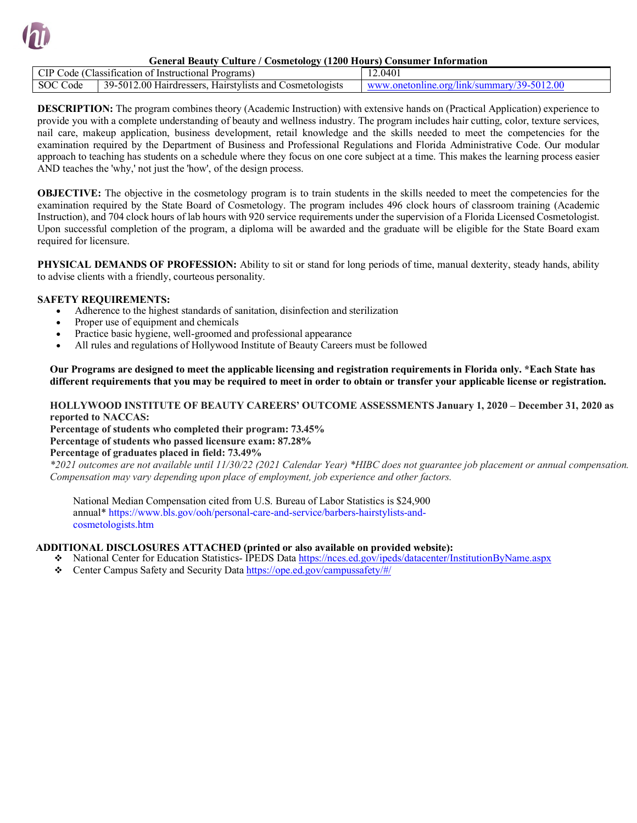

### **General Beauty Culture / Cosmetology (1200 Hours) Consumer Information**

| $\sim$<br>CIP<br>$\sim$<br>ode | $-$<br>$\sim$<br>Programs)<br>Instructional<br>Jassification<br>ΩŤ | 12.0401     |
|--------------------------------|--------------------------------------------------------------------|-------------|
| $\sim$                         | 39-5012.00 Hairdressers,                                           | 5012.00     |
| <b>SOC</b>                     | Hairstylists and                                                   | ınk         |
| Code                           | <b>Cosmetologists</b>                                              | <b>WARD</b> |

**DESCRIPTION:** The program combines theory (Academic Instruction) with extensive hands on (Practical Application) experience to provide you with a complete understanding of beauty and wellness industry. The program includes hair cutting, color, texture services, nail care, makeup application, business development, retail knowledge and the skills needed to meet the competencies for the examination required by the Department of Business and Professional Regulations and Florida Administrative Code. Our modular approach to teaching has students on a schedule where they focus on one core subject at a time. This makes the learning process easier AND teaches the 'why,' not just the 'how', of the design process.

**OBJECTIVE:** The objective in the cosmetology program is to train students in the skills needed to meet the competencies for the examination required by the State Board of Cosmetology. The program includes 496 clock hours of classroom training (Academic Instruction), and 704 clock hours of lab hours with 920 service requirements under the supervision of a Florida Licensed Cosmetologist. Upon successful completion of the program, a diploma will be awarded and the graduate will be eligible for the State Board exam required for licensure.

**PHYSICAL DEMANDS OF PROFESSION:** Ability to sit or stand for long periods of time, manual dexterity, steady hands, ability to advise clients with a friendly, courteous personality.

## **SAFETY REQUIREMENTS:**

- Adherence to the highest standards of sanitation, disinfection and sterilization
- Proper use of equipment and chemicals
- Practice basic hygiene, well-groomed and professional appearance
- All rules and regulations of Hollywood Institute of Beauty Careers must be followed

**Our Programs are designed to meet the applicable licensing and registration requirements in Florida only. \*Each State has different requirements that you may be required to meet in order to obtain or transfer your applicable license or registration.** 

## **HOLLYWOOD INSTITUTE OF BEAUTY CAREERS' OUTCOME ASSESSMENTS January 1, 2020 – December 31, 2020 as reported to NACCAS:**

**Percentage of students who completed their program: 73.45%**

**Percentage of students who passed licensure exam: 87.28%**

## **Percentage of graduates placed in field: 73.49%**

*\*2021 outcomes are not available until 11/30/22 (2021 Calendar Year) \*HIBC does not guarantee job placement or annual compensation. Compensation may vary depending upon place of employment, job experience and other factors.*

National Median Compensation cited from U.S. Bureau of Labor Statistics is \$24,900 annual\* https:[//www.bls.gov/ooh/personal-care-and-service/barbers-hairstylists-and](http://www.bls.gov/ooh/personal-care-and-service/barbers-hairstylists-and-cosmetologists.htm)[cosmetologists.htm](http://www.bls.gov/ooh/personal-care-and-service/barbers-hairstylists-and-cosmetologists.htm)

- National Center for Education Statistics- IPEDS Data https://nces.ed.gov/ipeds/datacenter/InstitutionByName.aspx
- Center Campus Safety and Security Data https://ope.ed.gov/campussafety/#/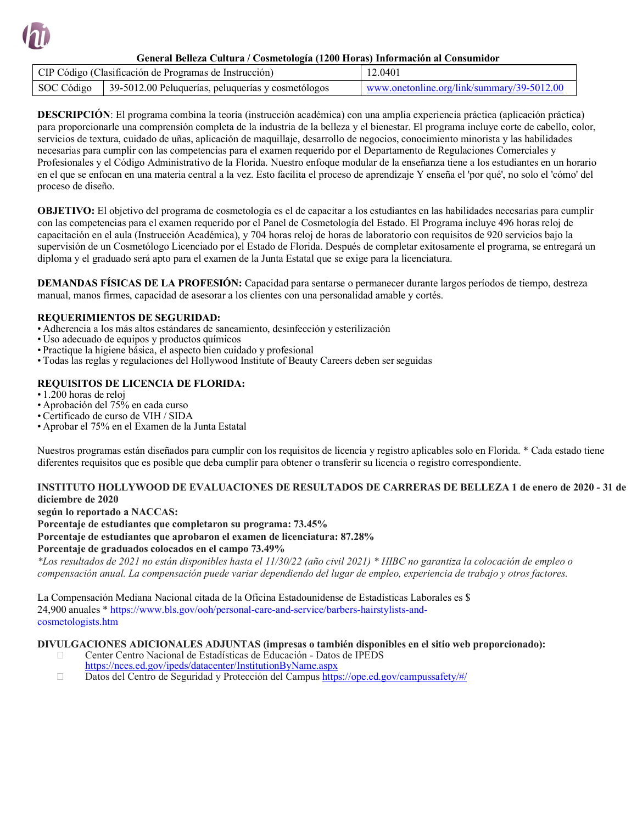

### **General Belleza Cultura / Cosmetología (1200 Horas) Información al Consumidor**

| CIP Código (Clasificación de Programas de Instrucción) |                                                                 | 12.0401                                    |  |  |
|--------------------------------------------------------|-----------------------------------------------------------------|--------------------------------------------|--|--|
|                                                        | SOC Código   39-5012.00 Peluquerías, peluquerías y cosmetólogos | www.onetonline.org/link/summary/39-5012.00 |  |  |

**DESCRIPCIÓN**: El programa combina la teoría (instrucción académica) con una amplia experiencia práctica (aplicación práctica) para proporcionarle una comprensión completa de la industria de la belleza y el bienestar. El programa incluye corte de cabello, color, servicios de textura, cuidado de uñas, aplicación de maquillaje, desarrollo de negocios, conocimiento minorista y las habilidades necesarias para cumplir con las competencias para el examen requerido por el Departamento de Regulaciones Comerciales y Profesionales y el Código Administrativo de la Florida. Nuestro enfoque modular de la enseñanza tiene a los estudiantes en un horario en el que se enfocan en una materia central a la vez. Esto facilita el proceso de aprendizaje Y enseña el 'por qué', no solo el 'cómo' del proceso de diseño.

**OBJETIVO:** El objetivo del programa de cosmetología es el de capacitar a los estudiantes en las habilidades necesarias para cumplir con las competencias para el examen requerido por el Panel de Cosmetología del Estado. El Programa incluye 496 horas reloj de capacitación en el aula (Instrucción Académica), y 704 horas reloj de horas de laboratorio con requisitos de 920 servicios bajo la supervisión de un Cosmetólogo Licenciado por el Estado de Florida. Después de completar exitosamente el programa, se entregará un diploma y el graduado será apto para el examen de la Junta Estatal que se exige para la licenciatura.

**DEMANDAS FÍSICAS DE LA PROFESIÓN:** Capacidad para sentarse o permanecer durante largos períodos de tiempo, destreza manual, manos firmes, capacidad de asesorar a los clientes con una personalidad amable y cortés.

## **REQUERIMIENTOS DE SEGURIDAD:**

- Adherencia a los más altos estándares de saneamiento, desinfección y esterilización
- Uso adecuado de equipos y productos químicos
- Practique la higiene básica, el aspecto bien cuidado y profesional
- Todas las reglas y regulaciones del Hollywood Institute of Beauty Careers deben serseguidas

## **REQUISITOS DE LICENCIA DE FLORIDA:**

- 1.200 horas de reloj
- Aprobación del 75% en cada curso
- Certificado de curso de VIH / SIDA
- Aprobar el 75% en el Examen de la Junta Estatal

Nuestros programas están diseñados para cumplir con los requisitos de licencia y registro aplicables solo en Florida. \* Cada estado tiene diferentes requisitos que es posible que deba cumplir para obtener o transferir su licencia o registro correspondiente.

## **INSTITUTO HOLLYWOOD DE EVALUACIONES DE RESULTADOS DE CARRERAS DE BELLEZA 1 de enero de 2020 - 31 de diciembre de 2020**

**según lo reportado a NACCAS:**

**Porcentaje de estudiantes que completaron su programa: 73.45%**

## **Porcentaje de estudiantes que aprobaron el examen de licenciatura: 87.28%**

## **Porcentaje de graduados colocados en el campo 73.49%**

*\*Los resultados de 2021 no están disponibles hasta el 11/30/22 (año civil 2021) \* HIBC no garantiza la colocación de empleo o compensación anual. La compensación puede variar dependiendo del lugar de empleo, experiencia de trabajo y otros factores.*

La Compensación Mediana Nacional citada de la Oficina Estadounidense de Estadísticas Laborales es \$ 24,900 anuales \* https:[//www.bls.gov/ooh/personal-care-and-service/barbers-hairstylists-and](http://www.bls.gov/ooh/personal-care-and-service/barbers-hairstylists-and-cosmetologists.htm)[cosmetologists.htm](http://www.bls.gov/ooh/personal-care-and-service/barbers-hairstylists-and-cosmetologists.htm)

## **DIVULGACIONES ADICIONALES ADJUNTAS (impresas o también disponibles en el sitio web proporcionado):**

- Center Centro Nacional de Estadísticas de Educación Datos de IPEDS <https://nces.ed.gov/ipeds/datacenter/InstitutionByName.aspx>
- Datos del Centro de Seguridad y Protección del Campus [https://ope.ed.gov/campussafety/#/](https://ope.ed.gov/campussafety/%23/)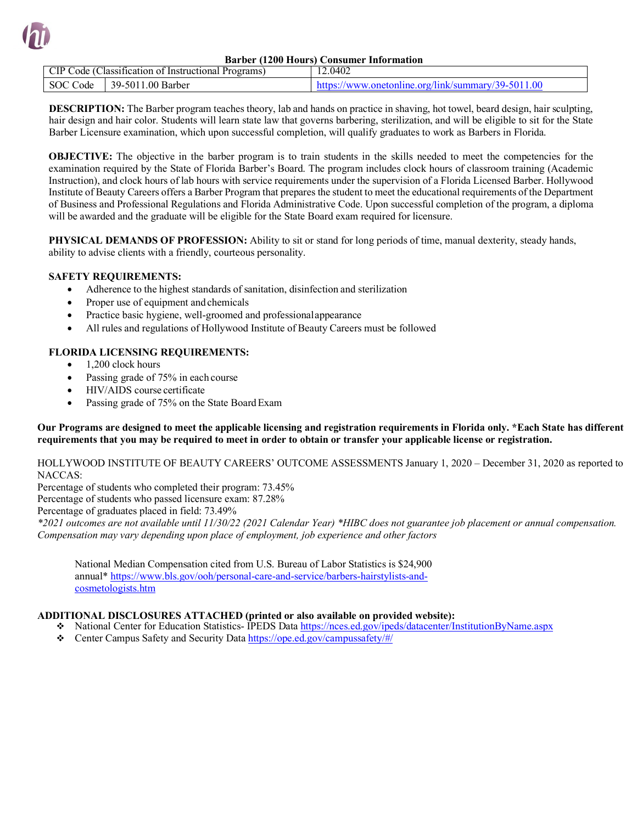

### **Barber (1200 Hours) Consumer Information**

| -<br>CIP<br>$\sim$<br>Programs)<br>Jassification<br>Instructiona<br>ode<br>$^{\prime}$ |  | 0402                                                                              |  |  |
|----------------------------------------------------------------------------------------|--|-----------------------------------------------------------------------------------|--|--|
| 39-501<br>$\mathcal{C}\cap\mathcal{C}$<br>1.00 Barber<br>ode                           |  | $\pm 0.00$<br>-501<br>≠/link/summary/*<br>$\alpha$ ro<br>onetonline.<br>'ns<br>ww |  |  |

**DESCRIPTION:** The Barber program teaches theory, lab and hands on practice in shaving, hot towel, beard design, hair sculpting, hair design and hair color. Students will learn state law that governs barbering, sterilization, and will be eligible to sit for the State Barber Licensure examination, which upon successful completion, will qualify graduates to work as Barbers in Florida.

**OBJECTIVE:** The objective in the barber program is to train students in the skills needed to meet the competencies for the examination required by the State of Florida Barber's Board. The program includes clock hours of classroom training (Academic Instruction), and clock hours of lab hours with service requirements under the supervision of a Florida Licensed Barber. Hollywood Institute of Beauty Careers offers a Barber Program that prepares the student to meet the educational requirements of the Department of Business and Professional Regulations and Florida Administrative Code. Upon successful completion of the program, a diploma will be awarded and the graduate will be eligible for the State Board exam required for licensure.

**PHYSICAL DEMANDS OF PROFESSION:** Ability to sit or stand for long periods of time, manual dexterity, steady hands, ability to advise clients with a friendly, courteous personality.

## **SAFETY REQUIREMENTS:**

- Adherence to the highest standards of sanitation, disinfection and sterilization
- Proper use of equipment and chemicals
- Practice basic hygiene, well-groomed and professionalappearance
- All rules and regulations of Hollywood Institute of Beauty Careers must be followed

## **FLORIDA LICENSING REQUIREMENTS:**

- 1,200 clock hours
- Passing grade of 75% in each course
- HIV/AIDS course certificate
- Passing grade of 75% on the State Board Exam

### **Our Programs are designed to meet the applicable licensing and registration requirements in Florida only. \*Each State has different requirements that you may be required to meet in order to obtain or transfer your applicable license or registration.**

HOLLYWOOD INSTITUTE OF BEAUTY CAREERS' OUTCOME ASSESSMENTS January 1, 2020 – December 31, 2020 as reported to NACCAS:

Percentage of students who completed their program: 73.45%

Percentage of students who passed licensure exam: 87.28%

Percentage of graduates placed in field: 73.49%

*\*2021 outcomes are not available until 11/30/22 (2021 Calendar Year) \*HIBC does not guarantee job placement or annual compensation. Compensation may vary depending upon place of employment, job experience and other factors*

National Median Compensation cited from U.S. Bureau of Labor Statistics is \$24,900 annual\* [https://www.bls.gov/ooh/personal-care-and-service/barbers-hairstylists-and](https://www.bls.gov/ooh/personal-care-and-service/barbers-hairstylists-and-cosmetologists.htm)[cosmetologists.htm](https://www.bls.gov/ooh/personal-care-and-service/barbers-hairstylists-and-cosmetologists.htm)

- ◆ National Center for Education Statistics- IPEDS Data <https://nces.ed.gov/ipeds/datacenter/InstitutionByName.aspx>
- Center Campus Safety and Security Data [https://ope.ed.gov/campussafety/#/](https://ope.ed.gov/campussafety/%23/)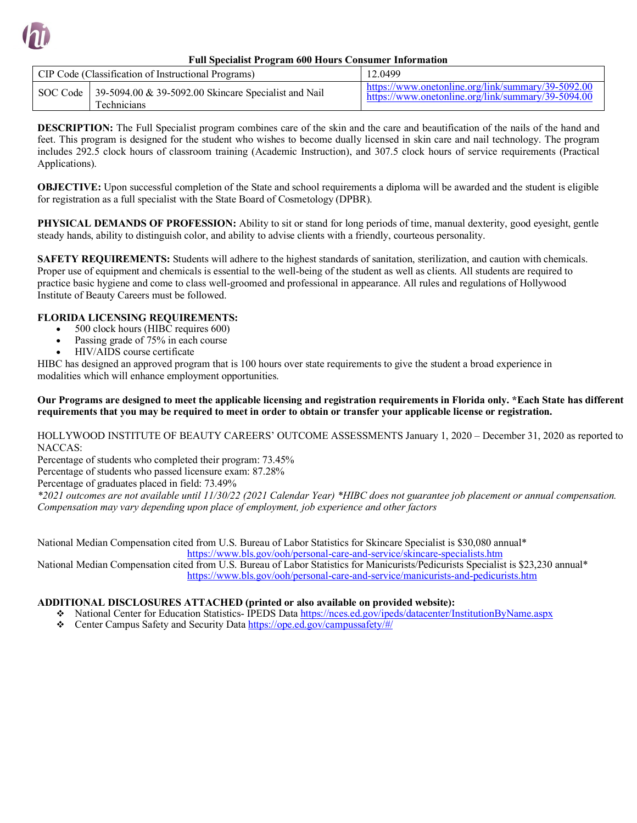

### **Full Specialist Program 600 Hours Consumer Information**

| CIP Code (Classification of Instructional Programs) |                                                                                   | 12.0499                                                                                                                      |  |
|-----------------------------------------------------|-----------------------------------------------------------------------------------|------------------------------------------------------------------------------------------------------------------------------|--|
|                                                     | SOC Code   39-5094.00 $\&$ 39-5092.00 Skincare Specialist and Nail<br>Technicians | $\mu$ https://www.onetonline.org/link/summary/39-5092.00<br>$\frac{1}{2}$ https://www.onetonline.org/link/summary/39-5094.00 |  |

**DESCRIPTION:** The Full Specialist program combines care of the skin and the care and beautification of the nails of the hand and feet. This program is designed for the student who wishes to become dually licensed in skin care and nail technology. The program includes 292.5 clock hours of classroom training (Academic Instruction), and 307.5 clock hours of service requirements (Practical Applications).

**OBJECTIVE:** Upon successful completion of the State and school requirements a diploma will be awarded and the student is eligible for registration as a full specialist with the State Board of Cosmetology (DPBR).

**PHYSICAL DEMANDS OF PROFESSION:** Ability to sit or stand for long periods of time, manual dexterity, good eyesight, gentle steady hands, ability to distinguish color, and ability to advise clients with a friendly, courteous personality.

**SAFETY REQUIREMENTS:** Students will adhere to the highest standards of sanitation, sterilization, and caution with chemicals. Proper use of equipment and chemicals is essential to the well-being of the student as well as clients. All students are required to practice basic hygiene and come to class well-groomed and professional in appearance. All rules and regulations of Hollywood Institute of Beauty Careers must be followed.

## **FLORIDA LICENSING REQUIREMENTS:**

- 500 clock hours (HIBC requires 600)
- Passing grade of 75% in each course
- HIV/AIDS course certificate

HIBC has designed an approved program that is 100 hours over state requirements to give the student a broad experience in modalities which will enhance employment opportunities.

## **Our Programs are designed to meet the applicable licensing and registration requirements in Florida only. \*Each State has different requirements that you may be required to meet in order to obtain or transfer your applicable license or registration.**

HOLLYWOOD INSTITUTE OF BEAUTY CAREERS' OUTCOME ASSESSMENTS January 1, 2020 – December 31, 2020 as reported to NACCAS:

Percentage of students who completed their program: 73.45%

Percentage of students who passed licensure exam: 87.28%

Percentage of graduates placed in field: 73.49%

*\*2021 outcomes are not available until 11/30/22 (2021 Calendar Year) \*HIBC does not guarantee job placement or annual compensation. Compensation may vary depending upon place of employment, job experience and other factors*

National Median Compensation cited from U.S. Bureau of Labor Statistics for Skincare Specialist is \$30,080 annual\* <https://www.bls.gov/ooh/personal-care-and-service/skincare-specialists.htm>

National Median Compensation cited from U.S. Bureau of Labor Statistics for Manicurists/Pedicurists Specialist is \$23,230 annual\* <https://www.bls.gov/ooh/personal-care-and-service/manicurists-and-pedicurists.htm>

- National Center for Education Statistics- IPEDS Data <https://nces.ed.gov/ipeds/datacenter/InstitutionByName.aspx>
- Center Campus Safety and Security Data [https://ope.ed.gov/campussafety/#/](https://ope.ed.gov/campussafety/%23/)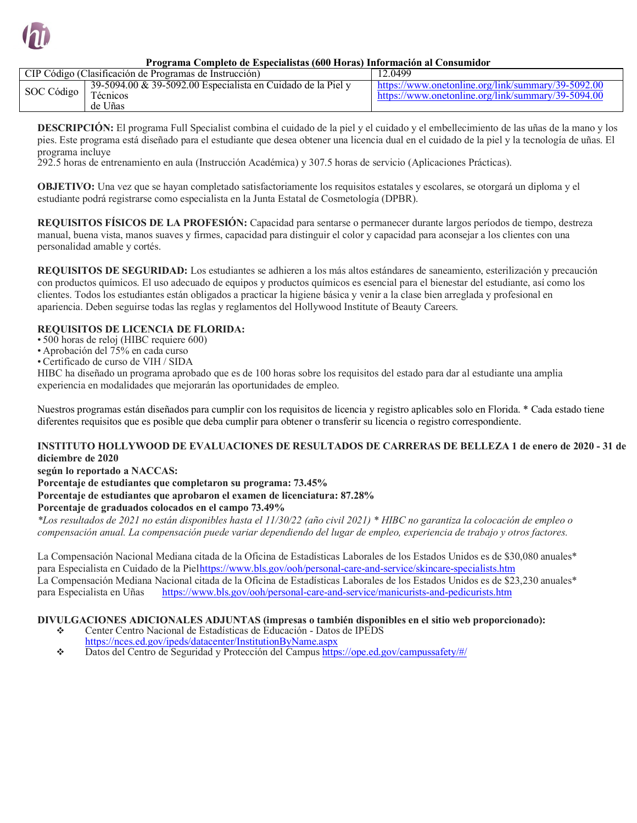

## **Programa Completo de Especialistas (600 Horas) Información al Consumidor**

|            | CIP Código (Clasificación de Programas de Instrucción)                              | 12.0499                                                                                                                                                                                   |
|------------|-------------------------------------------------------------------------------------|-------------------------------------------------------------------------------------------------------------------------------------------------------------------------------------------|
| SOC Código | 39-5094.00 & 39-5092.00 Especialista en Cuidado de la Piel y<br>Técnicos<br>de Uñas | $\frac{1 \text{ https://www.onetonline.org/link/summarv/39-5092.00}}{1 \text{ https://www.onetonline.org/link/summarv/39-5092.00}}$<br>https://www.onetonline.org/link/summary/39-5094.00 |

**DESCRIPCIÓN:** El programa Full Specialist combina el cuidado de la piel y el cuidado y el embellecimiento de las uñas de la mano y los pies. Este programa está diseñado para el estudiante que desea obtener una licencia dual en el cuidado de la piel y la tecnología de uñas. El programa incluye

292.5 horas de entrenamiento en aula (Instrucción Académica) y 307.5 horas de servicio (Aplicaciones Prácticas).

**OBJETIVO:** Una vez que se hayan completado satisfactoriamente los requisitos estatales y escolares, se otorgará un diploma y el estudiante podrá registrarse como especialista en la Junta Estatal de Cosmetología (DPBR).

**REQUISITOS FÍSICOS DE LA PROFESIÓN:** Capacidad para sentarse o permanecer durante largos períodos de tiempo, destreza manual, buena vista, manos suaves y firmes, capacidad para distinguir el color y capacidad para aconsejar a los clientes con una personalidad amable y cortés.

**REQUISITOS DE SEGURIDAD:** Los estudiantes se adhieren a los más altos estándares de saneamiento, esterilización y precaución con productos químicos. El uso adecuado de equipos y productos químicos es esencial para el bienestar del estudiante, así como los clientes. Todos los estudiantes están obligados a practicar la higiene básica y venir a la clase bien arreglada y profesional en apariencia. Deben seguirse todas las reglas y reglamentos del Hollywood Institute of Beauty Careers.

## **REQUISITOS DE LICENCIA DE FLORIDA:**

• 500 horas de reloj (HIBC requiere 600)

- Aprobación del 75% en cada curso
- Certificado de curso de VIH / SIDA

HIBC ha diseñado un programa aprobado que es de 100 horas sobre los requisitos del estado para dar al estudiante una amplia experiencia en modalidades que mejorarán las oportunidades de empleo.

Nuestros programas están diseñados para cumplir con los requisitos de licencia y registro aplicables solo en Florida. \* Cada estado tiene diferentes requisitos que es posible que deba cumplir para obtener o transferir su licencia o registro correspondiente.

## **INSTITUTO HOLLYWOOD DE EVALUACIONES DE RESULTADOS DE CARRERAS DE BELLEZA 1 de enero de 2020 - 31 de diciembre de 2020**

**según lo reportado a NACCAS:**

**Porcentaje de estudiantes que completaron su programa: 73.45%**

**Porcentaje de estudiantes que aprobaron el examen de licenciatura: 87.28%**

**Porcentaje de graduados colocados en el campo 73.49%**

*\*Los resultados de 2021 no están disponibles hasta el 11/30/22 (año civil 2021) \* HIBC no garantiza la colocación de empleo o compensación anual. La compensación puede variar dependiendo del lugar de empleo, experiencia de trabajo y otros factores.*

La Compensación Nacional Mediana citada de la Oficina de Estadísticas Laborales de los Estados Unidos es de \$30,080 anuales\* para Especialista en Cuidado de la Pie[lhttps://www.bls.gov/ooh/personal-care-and-service/skincare-specialists.htm](https://www.bls.gov/ooh/personal-care-and-service/skincare-specialists.htm) La Compensación Mediana Nacional citada de la Oficina de Estadísticas Laborales de los Estados Unidos es de \$23,230 anuales\* para Especialista en Uñas <https://www.bls.gov/ooh/personal-care-and-service/manicurists-and-pedicurists.htm>

## **DIVULGACIONES ADICIONALES ADJUNTAS (impresas o también disponibles en el sitio web proporcionado):**

- Center Centro Nacional de Estadísticas de Educación Datos de IPEDS <https://nces.ed.gov/ipeds/datacenter/InstitutionByName.aspx>
- Datos del Centro de Seguridad y Protección del Campus [https://ope.ed.gov/campussafety/#/](https://ope.ed.gov/campussafety/%23/)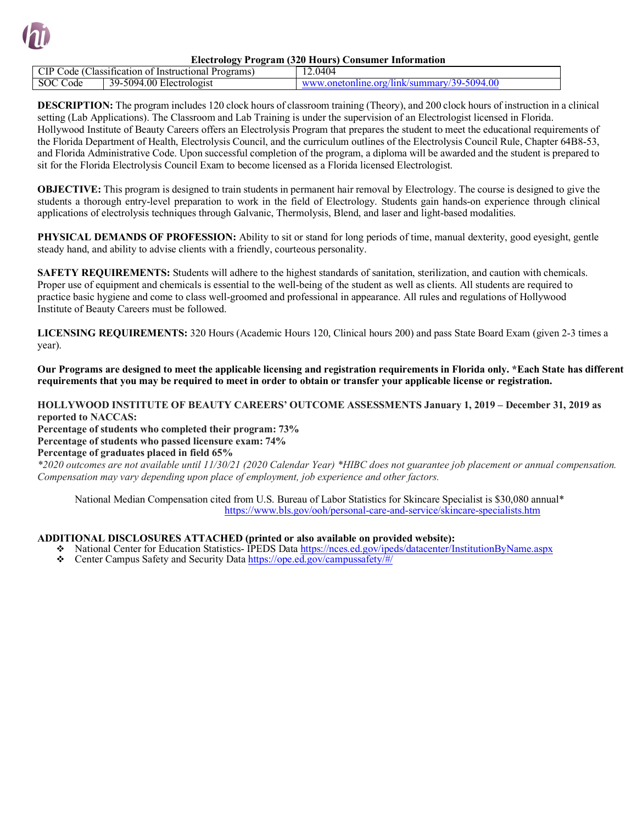

#### **Electrology Program (320 Hours) Consumer Information**

| $\sim$<br>CIP<br>$\cup$ ode $\cup$ | Classification of Instructional Programs) | .2.0404                                         |
|------------------------------------|-------------------------------------------|-------------------------------------------------|
| ∠ode                               | 39-5094.00 Electrologist                  | 139-5094.00<br>www.onetonline.org/link/summary/ |

**DESCRIPTION:** The program includes 120 clock hours of classroom training (Theory), and 200 clock hours of instruction in a clinical setting (Lab Applications). The Classroom and Lab Training is under the supervision of an Electrologist licensed in Florida. Hollywood Institute of Beauty Careers offers an Electrolysis Program that prepares the student to meet the educational requirements of the Florida Department of Health, Electrolysis Council, and the curriculum outlines of the Electrolysis Council Rule, Chapter 64B8-53, and Florida Administrative Code. Upon successful completion of the program, a diploma will be awarded and the student is prepared to sit for the Florida Electrolysis Council Exam to become licensed as a Florida licensed Electrologist.

**OBJECTIVE:** This program is designed to train students in permanent hair removal by Electrology. The course is designed to give the students a thorough entry-level preparation to work in the field of Electrology. Students gain hands-on experience through clinical applications of electrolysis techniques through Galvanic, Thermolysis, Blend, and laser and light-based modalities.

**PHYSICAL DEMANDS OF PROFESSION:** Ability to sit or stand for long periods of time, manual dexterity, good eyesight, gentle steady hand, and ability to advise clients with a friendly, courteous personality.

**SAFETY REQUIREMENTS:** Students will adhere to the highest standards of sanitation, sterilization, and caution with chemicals. Proper use of equipment and chemicals is essential to the well-being of the student as well as clients. All students are required to practice basic hygiene and come to class well-groomed and professional in appearance. All rules and regulations of Hollywood Institute of Beauty Careers must be followed.

**LICENSING REQUIREMENTS:** 320 Hours (Academic Hours 120, Clinical hours 200) and pass State Board Exam (given 2-3 times a year).

**Our Programs are designed to meet the applicable licensing and registration requirements in Florida only. \*Each State has different requirements that you may be required to meet in order to obtain or transfer your applicable license or registration.** 

## **HOLLYWOOD INSTITUTE OF BEAUTY CAREERS' OUTCOME ASSESSMENTS January 1, 2019 – December 31, 2019 as reported to NACCAS:**

**Percentage of students who completed their program: 73% Percentage of students who passed licensure exam: 74%**

#### **Percentage of graduates placed in field 65%**

*\*2020 outcomes are not available until 11/30/21 (2020 Calendar Year) \*HIBC does not guarantee job placement or annual compensation. Compensation may vary depending upon place of employment, job experience and other factors.*

National Median Compensation cited from U.S. Bureau of Labor Statistics for Skincare Specialist is \$30,080 annual\* <https://www.bls.gov/ooh/personal-care-and-service/skincare-specialists.htm>

- National Center for Education Statistics- IPEDS Data <https://nces.ed.gov/ipeds/datacenter/InstitutionByName.aspx>
- \* Center Campus Safety and Security Data [https://ope.ed.gov/campussafety/#/](https://ope.ed.gov/campussafety/%23/)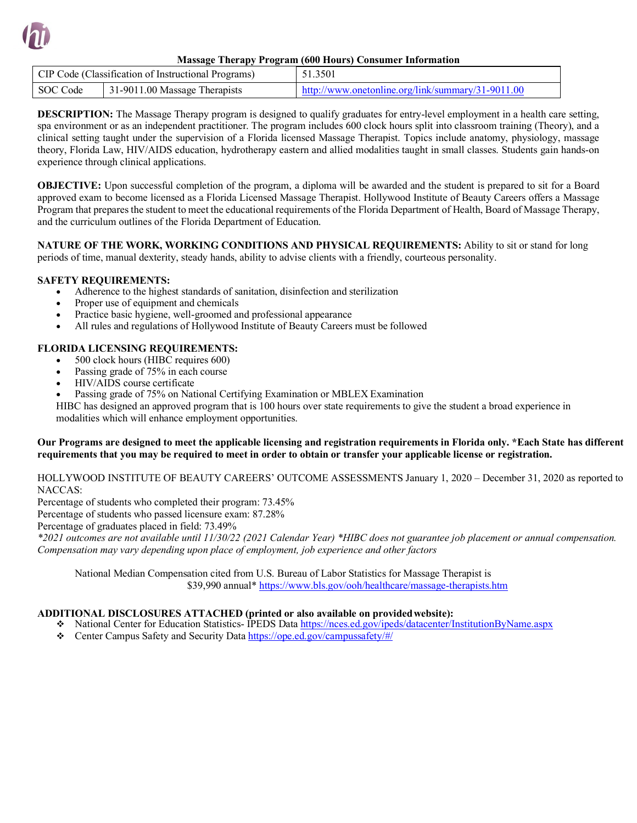

## **Massage Therapy Program (600 Hours) Consumer Information**

| CIP Code (Classification of Instructional Programs) |                                       | 51.3501                                                                                                                           |  |  |
|-----------------------------------------------------|---------------------------------------|-----------------------------------------------------------------------------------------------------------------------------------|--|--|
| SOC Code                                            | $\vert$ 31-9011.00 Massage Therapists | $\frac{1 \text{ http://www.onetonline.org/link/summary/31-9011.00}}{1 \text{ http://www.onetonline.org/link/summary/31-9011.00}}$ |  |  |

**DESCRIPTION:** The Massage Therapy program is designed to qualify graduates for entry-level employment in a health care setting, spa environment or as an independent practitioner. The program includes 600 clock hours split into classroom training (Theory), and a clinical setting taught under the supervision of a Florida licensed Massage Therapist. Topics include anatomy, physiology, massage theory, Florida Law, HIV/AIDS education, hydrotherapy eastern and allied modalities taught in small classes. Students gain hands-on experience through clinical applications.

**OBJECTIVE:** Upon successful completion of the program, a diploma will be awarded and the student is prepared to sit for a Board approved exam to become licensed as a Florida Licensed Massage Therapist. Hollywood Institute of Beauty Careers offers a Massage Program that prepares the student to meet the educational requirements of the Florida Department of Health, Board of Massage Therapy, and the curriculum outlines of the Florida Department of Education.

**NATURE OF THE WORK, WORKING CONDITIONS AND PHYSICAL REQUIREMENTS:** Ability to sit or stand for long periods of time, manual dexterity, steady hands, ability to advise clients with a friendly, courteous personality.

## **SAFETY REQUIREMENTS:**

- Adherence to the highest standards of sanitation, disinfection and sterilization
- Proper use of equipment and chemicals
- Practice basic hygiene, well-groomed and professional appearance
- All rules and regulations of Hollywood Institute of Beauty Careers must be followed

## **FLORIDA LICENSING REQUIREMENTS:**

- 500 clock hours (HIBC requires 600)
- Passing grade of 75% in each course
- HIV/AIDS course certificate
- Passing grade of 75% on National Certifying Examination or MBLEX Examination

HIBC has designed an approved program that is 100 hours over state requirements to give the student a broad experience in modalities which will enhance employment opportunities.

### **Our Programs are designed to meet the applicable licensing and registration requirements in Florida only. \*Each State has different requirements that you may be required to meet in order to obtain or transfer your applicable license or registration.**

HOLLYWOOD INSTITUTE OF BEAUTY CAREERS' OUTCOME ASSESSMENTS January 1, 2020 – December 31, 2020 as reported to NACCAS:

Percentage of students who completed their program: 73.45%

Percentage of students who passed licensure exam: 87.28%

Percentage of graduates placed in field: 73.49%

*\*2021 outcomes are not available until 11/30/22 (2021 Calendar Year) \*HIBC does not guarantee job placement or annual compensation. Compensation may vary depending upon place of employment, job experience and other factors*

National Median Compensation cited from U.S. Bureau of Labor Statistics for Massage Therapist is \$39,990 annual\*<https://www.bls.gov/ooh/healthcare/massage-therapists.htm>

# **ADDITIONAL DISCLOSURES ATTACHED (printed or also available on providedwebsite):**

◆ National Center for Education Statistics- IPEDS Data <https://nces.ed.gov/ipeds/datacenter/InstitutionByName.aspx>

Center Campus Safety and Security Data [https://ope.ed.gov/campussafety/#/](https://ope.ed.gov/campussafety/%23/)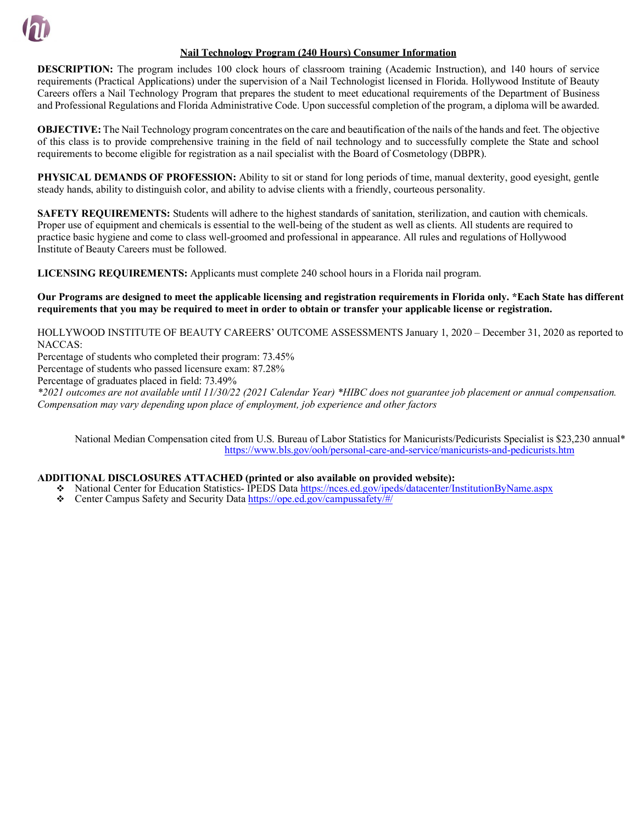

## **Nail Technology Program (240 Hours) Consumer Information**

**DESCRIPTION:** The program includes 100 clock hours of classroom training (Academic Instruction), and 140 hours of service requirements (Practical Applications) under the supervision of a Nail Technologist licensed in Florida. Hollywood Institute of Beauty Careers offers a Nail Technology Program that prepares the student to meet educational requirements of the Department of Business and Professional Regulations and Florida Administrative Code. Upon successful completion of the program, a diploma will be awarded.

**OBJECTIVE:** The Nail Technology program concentrates on the care and beautification of the nails of the hands and feet. The objective of this class is to provide comprehensive training in the field of nail technology and to successfully complete the State and school requirements to become eligible for registration as a nail specialist with the Board of Cosmetology (DBPR).

**PHYSICAL DEMANDS OF PROFESSION:** Ability to sit or stand for long periods of time, manual dexterity, good eyesight, gentle steady hands, ability to distinguish color, and ability to advise clients with a friendly, courteous personality.

**SAFETY REQUIREMENTS:** Students will adhere to the highest standards of sanitation, sterilization, and caution with chemicals. Proper use of equipment and chemicals is essential to the well-being of the student as well as clients. All students are required to practice basic hygiene and come to class well-groomed and professional in appearance. All rules and regulations of Hollywood Institute of Beauty Careers must be followed.

**LICENSING REQUIREMENTS:** Applicants must complete 240 school hours in a Florida nail program.

**Our Programs are designed to meet the applicable licensing and registration requirements in Florida only. \*Each State has different requirements that you may be required to meet in order to obtain or transfer your applicable license or registration.** 

HOLLYWOOD INSTITUTE OF BEAUTY CAREERS' OUTCOME ASSESSMENTS January 1, 2020 – December 31, 2020 as reported to NACCAS:

Percentage of students who completed their program: 73.45%

Percentage of students who passed licensure exam: 87.28%

Percentage of graduates placed in field: 73.49%

*\*2021 outcomes are not available until 11/30/22 (2021 Calendar Year) \*HIBC does not guarantee job placement or annual compensation. Compensation may vary depending upon place of employment, job experience and other factors*

National Median Compensation cited from U.S. Bureau of Labor Statistics for Manicurists/Pedicurists Specialist is \$23,230 annual\* <https://www.bls.gov/ooh/personal-care-and-service/manicurists-and-pedicurists.htm>

- National Center for Education Statistics- IPEDS Data <https://nces.ed.gov/ipeds/datacenter/InstitutionByName.aspx>
- Center Campus Safety and Security Data [https://ope.ed.gov/campussafety/#/](https://ope.ed.gov/campussafety/%23/)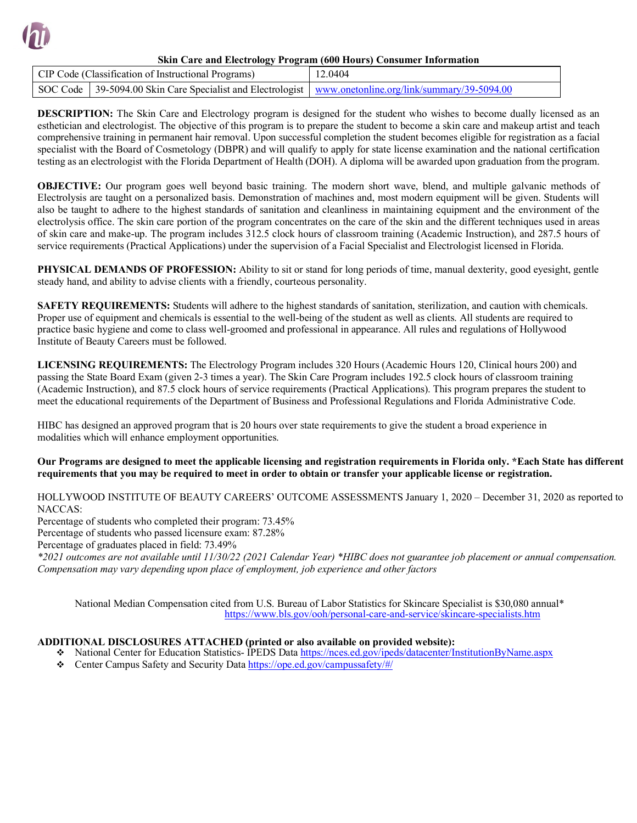

### **Skin Care and Electrology Program (600 Hours) Consumer Information**

| CIP Code (Classification of Instructional Programs) |                                                                                                           | 12.0404 |  |  |
|-----------------------------------------------------|-----------------------------------------------------------------------------------------------------------|---------|--|--|
|                                                     | SOC Code   39-5094.00 Skin Care Specialist and Electrologist   www.onetonline.org/link/summary/39-5094.00 |         |  |  |

**DESCRIPTION:** The Skin Care and Electrology program is designed for the student who wishes to become dually licensed as an esthetician and electrologist. The objective of this program is to prepare the student to become a skin care and makeup artist and teach comprehensive training in permanent hair removal. Upon successful completion the student becomes eligible for registration as a facial specialist with the Board of Cosmetology (DBPR) and will qualify to apply for state license examination and the national certification testing as an electrologist with the Florida Department of Health (DOH). A diploma will be awarded upon graduation from the program.

**OBJECTIVE:** Our program goes well beyond basic training. The modern short wave, blend, and multiple galvanic methods of Electrolysis are taught on a personalized basis. Demonstration of machines and, most modern equipment will be given. Students will also be taught to adhere to the highest standards of sanitation and cleanliness in maintaining equipment and the environment of the electrolysis office. The skin care portion of the program concentrates on the care of the skin and the different techniques used in areas of skin care and make-up. The program includes 312.5 clock hours of classroom training (Academic Instruction), and 287.5 hours of service requirements (Practical Applications) under the supervision of a Facial Specialist and Electrologist licensed in Florida.

**PHYSICAL DEMANDS OF PROFESSION:** Ability to sit or stand for long periods of time, manual dexterity, good eyesight, gentle steady hand, and ability to advise clients with a friendly, courteous personality.

**SAFETY REQUIREMENTS:** Students will adhere to the highest standards of sanitation, sterilization, and caution with chemicals. Proper use of equipment and chemicals is essential to the well-being of the student as well as clients. All students are required to practice basic hygiene and come to class well-groomed and professional in appearance. All rules and regulations of Hollywood Institute of Beauty Careers must be followed.

**LICENSING REQUIREMENTS:** The Electrology Program includes 320 Hours (Academic Hours 120, Clinical hours 200) and passing the State Board Exam (given 2-3 times a year). The Skin Care Program includes 192.5 clock hours of classroom training (Academic Instruction), and 87.5 clock hours of service requirements (Practical Applications). This program prepares the student to meet the educational requirements of the Department of Business and Professional Regulations and Florida Administrative Code.

HIBC has designed an approved program that is 20 hours over state requirements to give the student a broad experience in modalities which will enhance employment opportunities.

**Our Programs are designed to meet the applicable licensing and registration requirements in Florida only. \*Each State has different requirements that you may be required to meet in order to obtain or transfer your applicable license or registration.** 

## HOLLYWOOD INSTITUTE OF BEAUTY CAREERS' OUTCOME ASSESSMENTS January 1, 2020 – December 31, 2020 as reported to NACCAS:

Percentage of students who completed their program: 73.45%

Percentage of students who passed licensure exam: 87.28%

Percentage of graduates placed in field: 73.49%

*\*2021 outcomes are not available until 11/30/22 (2021 Calendar Year) \*HIBC does not guarantee job placement or annual compensation. Compensation may vary depending upon place of employment, job experience and other factors*

National Median Compensation cited from U.S. Bureau of Labor Statistics for Skincare Specialist is \$30,080 annual\* <https://www.bls.gov/ooh/personal-care-and-service/skincare-specialists.htm>

- ◆ National Center for Education Statistics- IPEDS Data <https://nces.ed.gov/ipeds/datacenter/InstitutionByName.aspx>
- Center Campus Safety and Security Data [https://ope.ed.gov/campussafety/#/](https://ope.ed.gov/campussafety/%23/)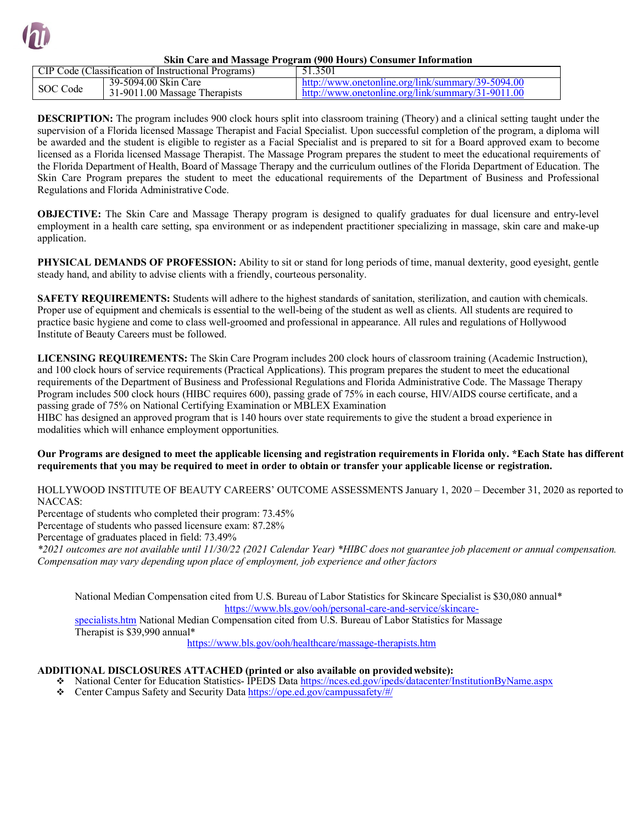

### **Skin Care and Massage Program (900 Hours) Consumer Information**

| CIP Code (Classification of Instructional Programs) |                                                       | 51.3501                                                                                                |  |
|-----------------------------------------------------|-------------------------------------------------------|--------------------------------------------------------------------------------------------------------|--|
| SOC Code                                            | 39-5094.00 Skin Care<br>31-9011.00 Massage Therapists | http://www.onetonline.org/link/summary/39-5094.00<br>http://www.onetonline.org/link/summary/31-9011.00 |  |
|                                                     |                                                       |                                                                                                        |  |

**DESCRIPTION:** The program includes 900 clock hours split into classroom training (Theory) and a clinical setting taught under the supervision of a Florida licensed Massage Therapist and Facial Specialist. Upon successful completion of the program, a diploma will be awarded and the student is eligible to register as a Facial Specialist and is prepared to sit for a Board approved exam to become licensed as a Florida licensed Massage Therapist. The Massage Program prepares the student to meet the educational requirements of the Florida Department of Health, Board of Massage Therapy and the curriculum outlines of the Florida Department of Education. The Skin Care Program prepares the student to meet the educational requirements of the Department of Business and Professional Regulations and Florida Administrative Code.

**OBJECTIVE:** The Skin Care and Massage Therapy program is designed to qualify graduates for dual licensure and entry-level employment in a health care setting, spa environment or as independent practitioner specializing in massage, skin care and make-up application.

**PHYSICAL DEMANDS OF PROFESSION:** Ability to sit or stand for long periods of time, manual dexterity, good eyesight, gentle steady hand, and ability to advise clients with a friendly, courteous personality.

**SAFETY REQUIREMENTS:** Students will adhere to the highest standards of sanitation, sterilization, and caution with chemicals. Proper use of equipment and chemicals is essential to the well-being of the student as well as clients. All students are required to practice basic hygiene and come to class well-groomed and professional in appearance. All rules and regulations of Hollywood Institute of Beauty Careers must be followed.

**LICENSING REQUIREMENTS:** The Skin Care Program includes 200 clock hours of classroom training (Academic Instruction), and 100 clock hours of service requirements (Practical Applications). This program prepares the student to meet the educational requirements of the Department of Business and Professional Regulations and Florida Administrative Code. The Massage Therapy Program includes 500 clock hours (HIBC requires 600), passing grade of 75% in each course, HIV/AIDS course certificate, and a passing grade of 75% on National Certifying Examination or MBLEX Examination

HIBC has designed an approved program that is 140 hours over state requirements to give the student a broad experience in modalities which will enhance employment opportunities.

## **Our Programs are designed to meet the applicable licensing and registration requirements in Florida only. \*Each State has different requirements that you may be required to meet in order to obtain or transfer your applicable license or registration.**

HOLLYWOOD INSTITUTE OF BEAUTY CAREERS' OUTCOME ASSESSMENTS January 1, 2020 – December 31, 2020 as reported to NACCAS:

Percentage of students who completed their program: 73.45%

Percentage of students who passed licensure exam: 87.28%

Percentage of graduates placed in field: 73.49%

*\*2021 outcomes are not available until 11/30/22 (2021 Calendar Year) \*HIBC does not guarantee job placement or annual compensation. Compensation may vary depending upon place of employment, job experience and other factors*

National Median Compensation cited from U.S. Bureau of Labor Statistics for Skincare Specialist is \$30,080 annual\* [https://www.bls.gov/ooh/personal-care-and-service/skincare](https://www.bls.gov/ooh/personal-care-and-service/skincare-specialists.htm)[specialists.htm](https://www.bls.gov/ooh/personal-care-and-service/skincare-specialists.htm) National Median Compensation cited from U.S. Bureau of Labor Statistics for Massage Therapist is \$39,990 annual\* <https://www.bls.gov/ooh/healthcare/massage-therapists.htm>

- National Center for Education Statistics- IPEDS Data <https://nces.ed.gov/ipeds/datacenter/InstitutionByName.aspx>
- Senter Campus Safety and Security Data https://ope.ed.gov/campussafety [#/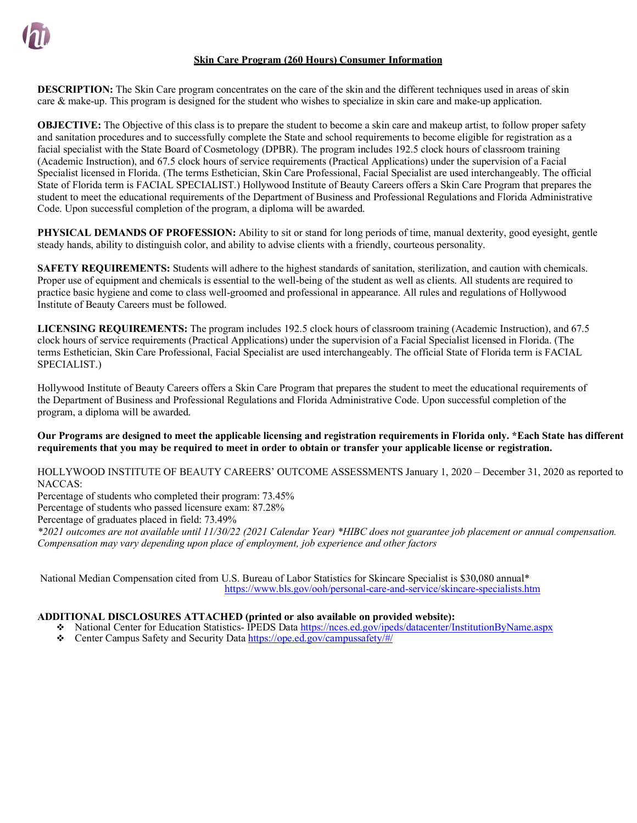## **Skin Care Program (260 Hours) Consumer Information**

**DESCRIPTION:** The Skin Care program concentrates on the care of the skin and the different techniques used in areas of skin care & make-up. This program is designed for the student who wishes to specialize in skin care and make-up application.

**OBJECTIVE:** The Objective of this class is to prepare the student to become a skin care and makeup artist, to follow proper safety and sanitation procedures and to successfully complete the State and school requirements to become eligible for registration as a facial specialist with the State Board of Cosmetology (DPBR). The program includes 192.5 clock hours of classroom training (Academic Instruction), and 67.5 clock hours of service requirements (Practical Applications) under the supervision of a Facial Specialist licensed in Florida. (The terms Esthetician, Skin Care Professional, Facial Specialist are used interchangeably. The official State of Florida term is FACIAL SPECIALIST.) Hollywood Institute of Beauty Careers offers a Skin Care Program that prepares the student to meet the educational requirements of the Department of Business and Professional Regulations and Florida Administrative Code. Upon successful completion of the program, a diploma will be awarded.

**PHYSICAL DEMANDS OF PROFESSION:** Ability to sit or stand for long periods of time, manual dexterity, good eyesight, gentle steady hands, ability to distinguish color, and ability to advise clients with a friendly, courteous personality.

**SAFETY REQUIREMENTS:** Students will adhere to the highest standards of sanitation, sterilization, and caution with chemicals. Proper use of equipment and chemicals is essential to the well-being of the student as well as clients. All students are required to practice basic hygiene and come to class well-groomed and professional in appearance. All rules and regulations of Hollywood Institute of Beauty Careers must be followed.

**LICENSING REQUIREMENTS:** The program includes 192.5 clock hours of classroom training (Academic Instruction), and 67.5 clock hours of service requirements (Practical Applications) under the supervision of a Facial Specialist licensed in Florida. (The terms Esthetician, Skin Care Professional, Facial Specialist are used interchangeably. The official State of Florida term is FACIAL SPECIALIST.)

Hollywood Institute of Beauty Careers offers a Skin Care Program that prepares the student to meet the educational requirements of the Department of Business and Professional Regulations and Florida Administrative Code. Upon successful completion of the program, a diploma will be awarded.

**Our Programs are designed to meet the applicable licensing and registration requirements in Florida only. \*Each State has different requirements that you may be required to meet in order to obtain or transfer your applicable license or registration.** 

HOLLYWOOD INSTITUTE OF BEAUTY CAREERS' OUTCOME ASSESSMENTS January 1, 2020 – December 31, 2020 as reported to NACCAS:

Percentage of students who completed their program: 73.45%

Percentage of students who passed licensure exam: 87.28%

Percentage of graduates placed in field: 73.49%

*\*2021 outcomes are not available until 11/30/22 (2021 Calendar Year) \*HIBC does not guarantee job placement or annual compensation. Compensation may vary depending upon place of employment, job experience and other factors*

National Median Compensation cited from U.S. Bureau of Labor Statistics for Skincare Specialist is \$30,080 annual\* <https://www.bls.gov/ooh/personal-care-and-service/skincare-specialists.htm>

- \* National Center for Education Statistics- IPEDS Data <https://nces.ed.gov/ipeds/datacenter/InstitutionByName.aspx>
- \* Center Campus Safety and Security Data [https://ope.ed.gov/campussafety/#/](https://ope.ed.gov/campussafety/%23/)